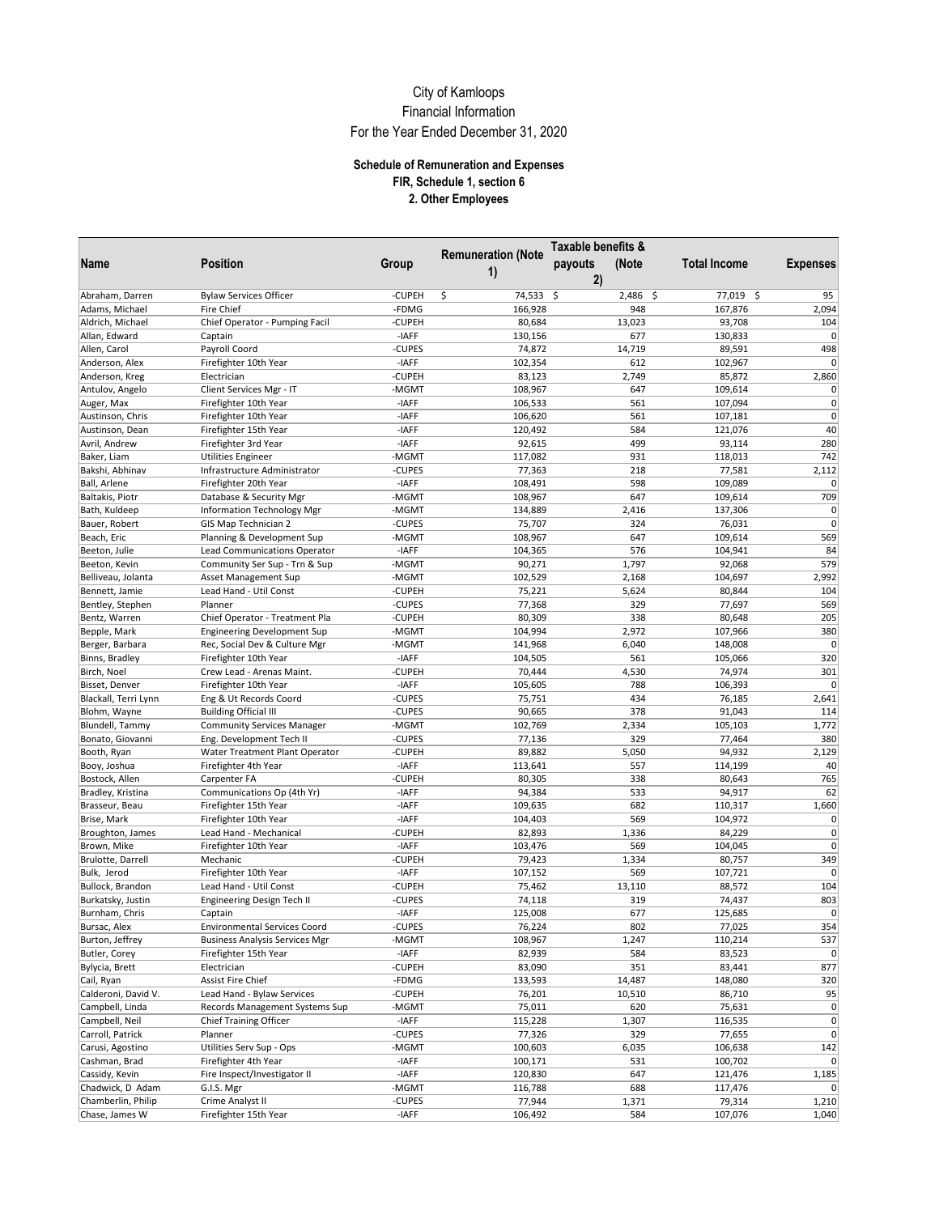|                                      |                                                                   |                 |                                 | <b>Taxable benefits &amp;</b> |                     |                 |  |
|--------------------------------------|-------------------------------------------------------------------|-----------------|---------------------------------|-------------------------------|---------------------|-----------------|--|
| Name                                 | <b>Position</b>                                                   | Group           | <b>Remuneration (Note</b><br>1) | (Note<br>payouts<br>2)        | <b>Total Income</b> | <b>Expenses</b> |  |
| Abraham, Darren                      | <b>Bylaw Services Officer</b>                                     | -CUPEH          | \$<br>74,533 \$                 | $2,486$ \$                    | 77,019 \$           | 95              |  |
| Adams, Michael                       | <b>Fire Chief</b>                                                 | -FDMG           | 166,928                         | 948                           | 167,876             | 2,094           |  |
| Aldrich, Michael                     | Chief Operator - Pumping Facil                                    | -CUPEH          | 80,684                          | 13,023                        | 93,708              | 104             |  |
| Allan, Edward                        | Captain                                                           | $-IAFF$         | 130,156                         | 677                           | 130,833             | 0               |  |
| Allen, Carol                         | Payroll Coord                                                     | -CUPES          | 74,872                          | 14,719                        | 89,591              | 498             |  |
| Anderson, Alex                       | Firefighter 10th Year                                             | $-IAFF$         | 102,354                         | 612                           | 102,967             | 0               |  |
| Anderson, Kreg                       | Electrician                                                       | -CUPEH          | 83,123                          | 2,749                         | 85,872              | 2,860           |  |
| Antulov, Angelo                      | Client Services Mgr - IT                                          | -MGMT           | 108,967                         | 647                           | 109,614             | 0               |  |
| Auger, Max                           | Firefighter 10th Year                                             | $-IAFF$         | 106,533                         | 561                           | 107,094             | 0               |  |
| Austinson, Chris                     | Firefighter 10th Year                                             | $-IAFF$         | 106,620                         | 561                           | 107,181             | 0               |  |
| Austinson, Dean                      | Firefighter 15th Year                                             | $-IAFF$         | 120,492                         | 584                           | 121,076             | 40              |  |
| Avril, Andrew                        | Firefighter 3rd Year                                              | -IAFF           | 92,615                          | 499                           | 93,114              | 280             |  |
| Baker, Liam                          | Utilities Engineer                                                | -MGMT           | 117,082                         | 931                           | 118,013             | 742             |  |
| Bakshi, Abhinav                      | Infrastructure Administrator                                      | -CUPES          | 77,363                          | 218                           | 77,581              | 2,112           |  |
| Ball, Arlene                         | Firefighter 20th Year                                             | -IAFF           | 108,491                         | 598                           | 109,089             | 0               |  |
| Baltakis, Piotr                      | Database & Security Mgr                                           | -MGMT           | 108,967                         | 647                           | 109,614             | 709             |  |
| Bath, Kuldeep                        | Information Technology Mgr                                        | -MGMT           | 134,889                         | 2,416                         | 137,306             | 0               |  |
| Bauer, Robert                        | <b>GIS Map Technician 2</b>                                       | -CUPES          | 75,707                          | 324                           | 76,031              | 0               |  |
| Beach, Eric                          | Planning & Development Sup                                        | -MGMT           | 108,967                         | 647                           | 109,614             | 569             |  |
| Beeton, Julie                        | <b>Lead Communications Operator</b>                               | $-IAFF$         | 104,365                         | 576                           | 104,941             | 84              |  |
| Beeton, Kevin                        | Community Ser Sup - Trn & Sup                                     | -MGMT           | 90,271                          | 1,797                         | 92,068              | 579             |  |
| Belliveau, Jolanta                   | <b>Asset Management Sup</b>                                       | -MGMT           | 102,529                         | 2,168                         | 104,697             | 2,992           |  |
| Bennett, Jamie                       | Lead Hand - Util Const                                            | -CUPEH          | 75,221                          | 5,624                         | 80,844              | 104             |  |
| Bentley, Stephen                     | Planner                                                           | -CUPES          | 77,368                          | 329                           | 77,697              | 569             |  |
| Bentz, Warren                        | Chief Operator - Treatment Pla                                    | -CUPEH          | 80,309                          | 338                           | 80,648              | 205             |  |
| Bepple, Mark                         | <b>Engineering Development Sup</b>                                | -MGMT           | 104,994                         | 2,972                         | 107,966             | 380             |  |
| Berger, Barbara                      | Rec, Social Dev & Culture Mgr                                     | -MGMT           | 141,968                         | 6,040                         | 148,008             | 0               |  |
| Binns, Bradley                       | Firefighter 10th Year                                             | -IAFF           | 104,505                         | 561                           | 105,066             | 320             |  |
| Birch, Noel                          | Crew Lead - Arenas Maint.                                         | -CUPEH          | 70,444                          | 4,530                         | 74,974              | 301             |  |
| Bisset, Denver                       | Firefighter 10th Year                                             | -IAFF           | 105,605                         | 788                           | 106,393             | 0               |  |
| Blackall, Terri Lynn<br>Blohm, Wayne | Eng & Ut Records Coord                                            | -CUPES          | 75,751                          | 434<br>378                    | 76,185              | 2,641           |  |
| Blundell, Tammy                      | <b>Building Official III</b><br><b>Community Services Manager</b> | -CUPES<br>-MGMT | 90,665<br>102,769               | 2,334                         | 91,043<br>105,103   | 114<br>1,772    |  |
| Bonato, Giovanni                     | Eng. Development Tech II                                          | -CUPES          | 77,136                          | 329                           | 77,464              | 380             |  |
| Booth, Ryan                          | Water Treatment Plant Operator                                    | -CUPEH          | 89,882                          | 5,050                         | 94,932              | 2,129           |  |
| Booy, Joshua                         | Firefighter 4th Year                                              | -IAFF           | 113,641                         | 557                           | 114,199             | 40              |  |
| Bostock, Allen                       | Carpenter FA                                                      | -CUPEH          | 80,305                          | 338                           | 80,643              | 765             |  |
| Bradley, Kristina                    | Communications Op (4th Yr)                                        | -IAFF           | 94,384                          | 533                           | 94,917              | 62              |  |
| Brasseur, Beau                       | Firefighter 15th Year                                             | $-IAFF$         | 109,635                         | 682                           | 110,317             | 1,660           |  |
| Brise, Mark                          | Firefighter 10th Year                                             | $-IAFF$         | 104,403                         | 569                           | 104,972             |                 |  |
| Broughton, James                     | Lead Hand - Mechanical                                            | -CUPEH          | 82,893                          | 1,336                         | 84,229              | 0               |  |
| Brown, Mike                          | Firefighter 10th Year                                             | $-IAFF$         | 103,476                         | 569                           | 104,045             | 0               |  |
| Brulotte, Darrell                    | Mechanic                                                          | -CUPEH          | 79,423                          | 1,334                         | 80,757              | 349             |  |
| Bulk, Jerod                          | Firefighter 10th Year                                             | $-IAFF$         | 107,152                         | 569                           | 107,721             | 0               |  |
| Bullock, Brandon                     | Lead Hand - Util Const                                            | -CUPEH          | 75,462                          | 13,110                        | 88,572              | 104             |  |
| Burkatsky, Justin                    | <b>Engineering Design Tech II</b>                                 | -CUPES          | 74,118                          | 319                           | 74,437              | 803             |  |
| Burnham, Chris                       | Captain                                                           | $-IAFF$         | 125,008                         | 677                           | 125,685             | 0               |  |
| Bursac, Alex                         | <b>Environmental Services Coord</b>                               | -CUPES          | 76,224                          | 802                           | 77,025              | 354             |  |
| Burton, Jeffrey                      | <b>Business Analysis Services Mgr</b>                             | -MGMT           | 108,967                         | 1,247                         | 110,214             | 537             |  |
| Butler, Corey                        | Firefighter 15th Year                                             | -IAFF           | 82,939                          | 584                           | 83,523              | 0               |  |
| Bylycia, Brett                       | Electrician                                                       | -CUPEH          | 83,090                          | 351                           | 83,441              | 877             |  |
| Cail, Ryan                           | Assist Fire Chief                                                 | -FDMG           | 133,593                         | 14,487                        | 148,080             | 320             |  |
| Calderoni, David V.                  | Lead Hand - Bylaw Services                                        | -CUPEH          | 76,201                          | 10,510                        | 86,710              | 95              |  |
| Campbell, Linda                      | Records Management Systems Sup                                    | -MGMT           | 75,011                          | 620                           | 75,631              | 0               |  |
| Campbell, Neil                       | <b>Chief Training Officer</b>                                     | -IAFF           | 115,228                         | 1,307                         | 116,535             | 0               |  |
| Carroll, Patrick                     | Planner                                                           | -CUPES          | 77,326                          | 329                           | 77,655              | 0               |  |
| Carusi, Agostino                     | Utilities Serv Sup - Ops                                          | -MGMT           | 100,603                         | 6,035                         | 106,638             | 142             |  |
| Cashman, Brad                        | Firefighter 4th Year                                              | $-IAFF$         | 100,171                         | 531                           | 100,702             | 0               |  |
| Cassidy, Kevin                       | Fire Inspect/Investigator II                                      | $-IAFF$         | 120,830                         | 647                           | 121,476             | 1,185           |  |
| Chadwick, D Adam                     | G.I.S. Mgr                                                        | -MGMT           | 116,788                         | 688                           | 117,476             | 0               |  |
| Chamberlin, Philip                   | Crime Analyst II                                                  | -CUPES          | 77,944                          | 1,371                         | 79,314              | 1,210           |  |
| Chase, James W                       | Firefighter 15th Year                                             | $-IAFF$         | 106,492                         | 584                           | 107,076             | 1,040           |  |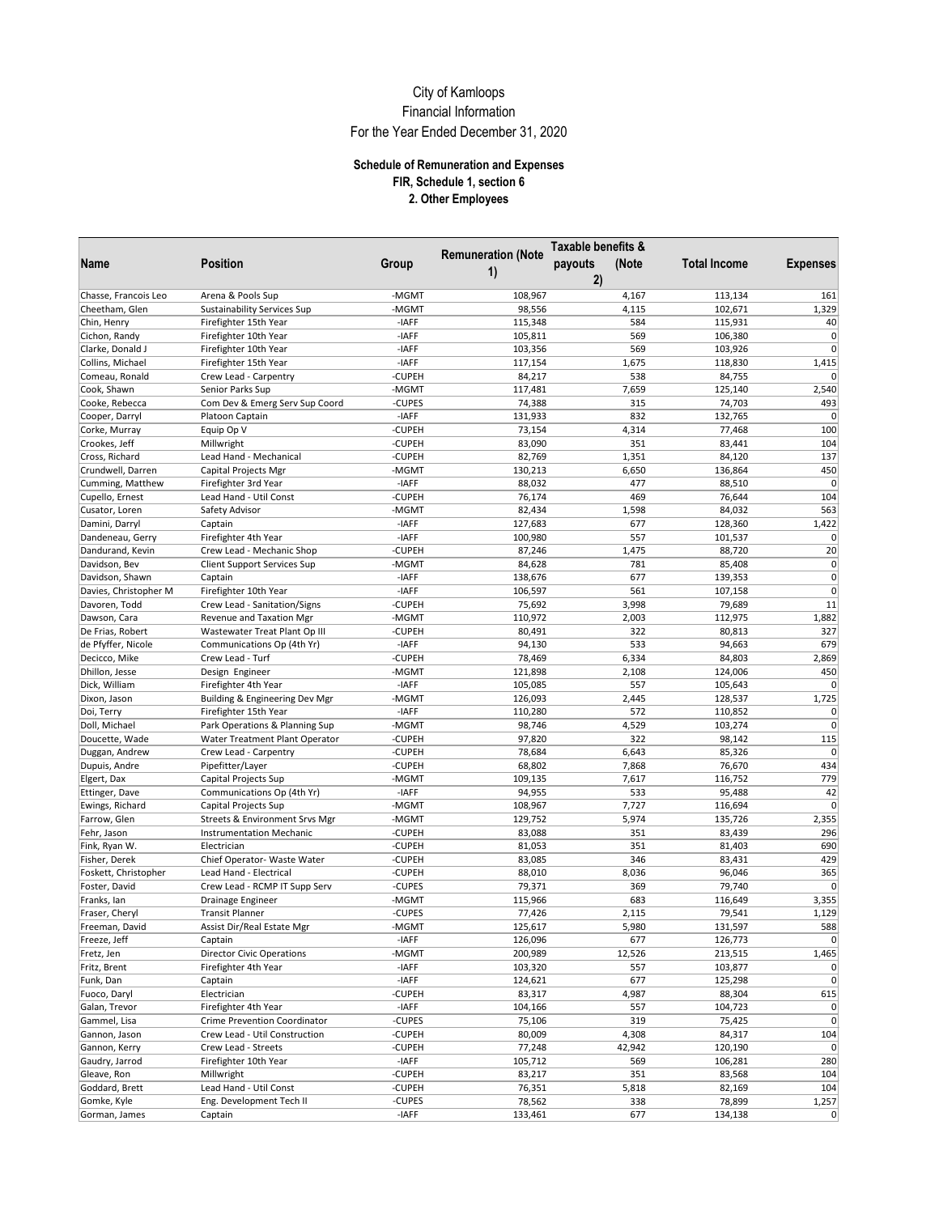|                                 |                                           |                 |                           | Taxable benefits & |                     |                 |
|---------------------------------|-------------------------------------------|-----------------|---------------------------|--------------------|---------------------|-----------------|
| Name                            | <b>Position</b>                           | Group           | <b>Remuneration (Note</b> | (Note<br>payouts   | <b>Total Income</b> | <b>Expenses</b> |
|                                 |                                           |                 | 1)                        | 2)                 |                     |                 |
| Chasse, Francois Leo            | Arena & Pools Sup                         | -MGMT           | 108,967                   | 4,167              | 113,134             | 161             |
| Cheetham, Glen                  | <b>Sustainability Services Sup</b>        | -MGMT           | 98,556                    | 4,115              | 102,671             | 1,329           |
| Chin, Henry                     | Firefighter 15th Year                     | -IAFF           | 115,348                   | 584                | 115,931             | 40              |
| Cichon, Randy                   | Firefighter 10th Year                     | -IAFF           | 105,811                   | 569                | 106,380             | 0               |
| Clarke, Donald J                | Firefighter 10th Year                     | -IAFF           | 103,356                   | 569                | 103,926             | $\Omega$        |
| Collins, Michael                | Firefighter 15th Year                     | -IAFF           | 117,154                   | 1,675              | 118,830             | 1,415           |
| Comeau, Ronald                  | Crew Lead - Carpentry                     | -CUPEH          | 84,217                    | 538                | 84,755              |                 |
| Cook, Shawn                     | Senior Parks Sup                          | -MGMT           | 117,481                   | 7,659              | 125,140             | 2,540           |
| Cooke, Rebecca                  | Com Dev & Emerg Serv Sup Coord            | -CUPES          | 74,388                    | 315                | 74,703              | 493             |
| Cooper, Darryl                  | Platoon Captain                           | -IAFF           | 131,933                   | 832                | 132,765             | 0               |
| Corke, Murray                   | Equip Op V                                | -CUPEH          | 73,154                    | 4,314              | 77,468              | 100             |
| Crookes, Jeff                   | Millwright                                | -CUPEH          | 83,090                    | 351                | 83,441              | 104             |
| Cross, Richard                  | Lead Hand - Mechanical                    | -CUPEH          | 82,769                    | 1,351              | 84,120              | 137             |
| Crundwell, Darren               | Capital Projects Mgr                      | -MGMT           | 130,213                   | 6,650              | 136,864             | 450             |
| Cumming, Matthew                | Firefighter 3rd Year                      | -IAFF           | 88,032                    | 477                | 88,510              | 0               |
| Cupello, Ernest                 | Lead Hand - Util Const                    | -CUPEH          | 76,174                    | 469                | 76,644              | 104             |
| Cusator, Loren                  | Safety Advisor                            | -MGMT           | 82,434                    | 1,598              | 84,032              | 563             |
| Damini, Darryl                  | Captain                                   | -IAFF           | 127,683                   | 677                | 128,360             | 1,422           |
| Dandeneau, Gerry                | Firefighter 4th Year                      | $-IAFF$         | 100,980                   | 557                | 101,537             | 0               |
| Dandurand, Kevin                | Crew Lead - Mechanic Shop                 | -CUPEH          | 87,246                    | 1,475              | 88,720              | 20              |
| Davidson, Bev                   | <b>Client Support Services Sup</b>        | -MGMT           | 84,628                    | 781                | 85,408              | 0               |
| Davidson, Shawn                 | Captain                                   | -IAFF           | 138,676                   | 677                | 139,353             | 0               |
| Davies, Christopher M           | Firefighter 10th Year                     | -IAFF           | 106,597                   | 561                | 107,158             | 0               |
| Davoren, Todd                   | Crew Lead - Sanitation/Signs              | -CUPEH          | 75,692                    | 3,998              | 79,689              | 11              |
| Dawson, Cara                    | Revenue and Taxation Mgr                  | -MGMT           | 110,972                   | 2,003              | 112,975             | 1,882           |
| De Frias, Robert                | Wastewater Treat Plant Op III             | -CUPEH          | 80,491                    | 322                | 80,813              | 327             |
| de Pfyffer, Nicole              | Communications Op (4th Yr)                | -IAFF           | 94,130                    | 533                | 94,663              | 679             |
| Decicco, Mike<br>Dhillon, Jesse | Crew Lead - Turf<br>Design Engineer       | -CUPEH<br>-MGMT | 78,469<br>121,898         | 6,334<br>2,108     | 84,803<br>124,006   | 2,869<br>450    |
| Dick, William                   | Firefighter 4th Year                      | $-IAFF$         | 105,085                   | 557                | 105,643             |                 |
| Dixon, Jason                    | Building & Engineering Dev Mgr            | -MGMT           | 126,093                   | 2,445              | 128,537             | 1,725           |
| Doi, Terry                      | Firefighter 15th Year                     | -IAFF           | 110,280                   | 572                | 110,852             |                 |
| Doll, Michael                   | Park Operations & Planning Sup            | -MGMT           | 98,746                    | 4,529              | 103,274             | $\Omega$        |
| Doucette, Wade                  | Water Treatment Plant Operator            | -CUPEH          | 97,820                    | 322                | 98,142              | 115             |
| Duggan, Andrew                  | Crew Lead - Carpentry                     | -CUPEH          | 78,684                    | 6,643              | 85,326              | $\Omega$        |
| Dupuis, Andre                   | Pipefitter/Layer                          | -CUPEH          | 68,802                    | 7,868              | 76,670              | 434             |
| Elgert, Dax                     | Capital Projects Sup                      | -MGMT           | 109,135                   | 7,617              | 116,752             | 779             |
| Ettinger, Dave                  | Communications Op (4th Yr)                | -IAFF           | 94,955                    | 533                | 95,488              | 42              |
| Ewings, Richard                 | Capital Projects Sup                      | -MGMT           | 108,967                   | 7,727              | 116,694             | $\mathbf{0}$    |
| Farrow, Glen                    | <b>Streets &amp; Environment Srvs Mgr</b> | -MGMT           | 129,752                   | 5,974              | 135,726             | 2,355           |
| Fehr, Jason                     | <b>Instrumentation Mechanic</b>           | -CUPEH          | 83,088                    | 351                | 83,439              | 296             |
| Fink, Ryan W.                   | Electrician                               | -CUPEH          | 81,053                    | 351                | 81,403              | 690             |
| Fisher, Derek                   | Chief Operator- Waste Water               | -CUPEH          | 83,085                    | 346                | 83,431              | 429             |
| Foskett, Christopher            | Lead Hand - Electrical                    | -CUPEH          | 88,010                    | 8,036              | 96,046              | 365             |
| Foster, David                   | Crew Lead - RCMP IT Supp Serv             | -CUPES          | 79,371                    | 369                | 79,740              |                 |
| Franks, Ian                     | Drainage Engineer                         | -MGMT           | 115,966                   | 683                | 116,649             | 3,355           |
| Fraser, Cheryl                  | <b>Transit Planner</b>                    | -CUPES          | 77,426                    | 2,115              | 79,541              | 1,129           |
| Freeman, David                  | Assist Dir/Real Estate Mgr                | -MGMT           | 125,617                   | 5,980              | 131,597             | 588             |
| Freeze, Jeff                    | Captain                                   | $-IAFF$         | 126,096                   | 677                | 126,773             | $\Omega$        |
| Fretz, Jen                      | <b>Director Civic Operations</b>          | -MGMT           | 200,989                   | 12,526             | 213,515             | 1,465           |
| Fritz, Brent                    | Firefighter 4th Year                      | -IAFF           | 103,320                   | 557                | 103,877             | 0               |
| Funk, Dan                       | Captain                                   | -IAFF           | 124,621                   | 677                | 125,298             | <sup>0</sup>    |
| Fuoco, Daryl                    | Electrician                               | -CUPEH          | 83,317                    | 4,987              | 88,304              | 615             |
| Galan, Trevor                   | Firefighter 4th Year                      | $-IAFF$         | 104,166                   | 557                | 104,723             | 0               |
| Gammel, Lisa                    | <b>Crime Prevention Coordinator</b>       | -CUPES          | 75,106                    | 319                | 75,425              | $\Omega$        |
| Gannon, Jason                   | Crew Lead - Util Construction             | -CUPEH          | 80,009                    | 4,308              | 84,317              | 104             |
| Gannon, Kerry                   | Crew Lead - Streets                       | -CUPEH          | 77,248                    | 42,942             | 120,190             | 0               |
| Gaudry, Jarrod                  | Firefighter 10th Year                     | -IAFF           | 105,712                   | 569                | 106,281             | 280             |
| Gleave, Ron                     | Millwright                                | -CUPEH          | 83,217                    | 351                | 83,568              | 104             |
| Goddard, Brett                  | Lead Hand - Util Const                    | -CUPEH          | 76,351                    | 5,818              | 82,169              | 104             |
| Gomke, Kyle                     | Eng. Development Tech II                  | -CUPES          | 78,562                    | 338<br>677         | 78,899              | 1,257           |
| Gorman, James                   | Captain                                   | $-IAFF$         | 133,461                   |                    | 134,138             | 0               |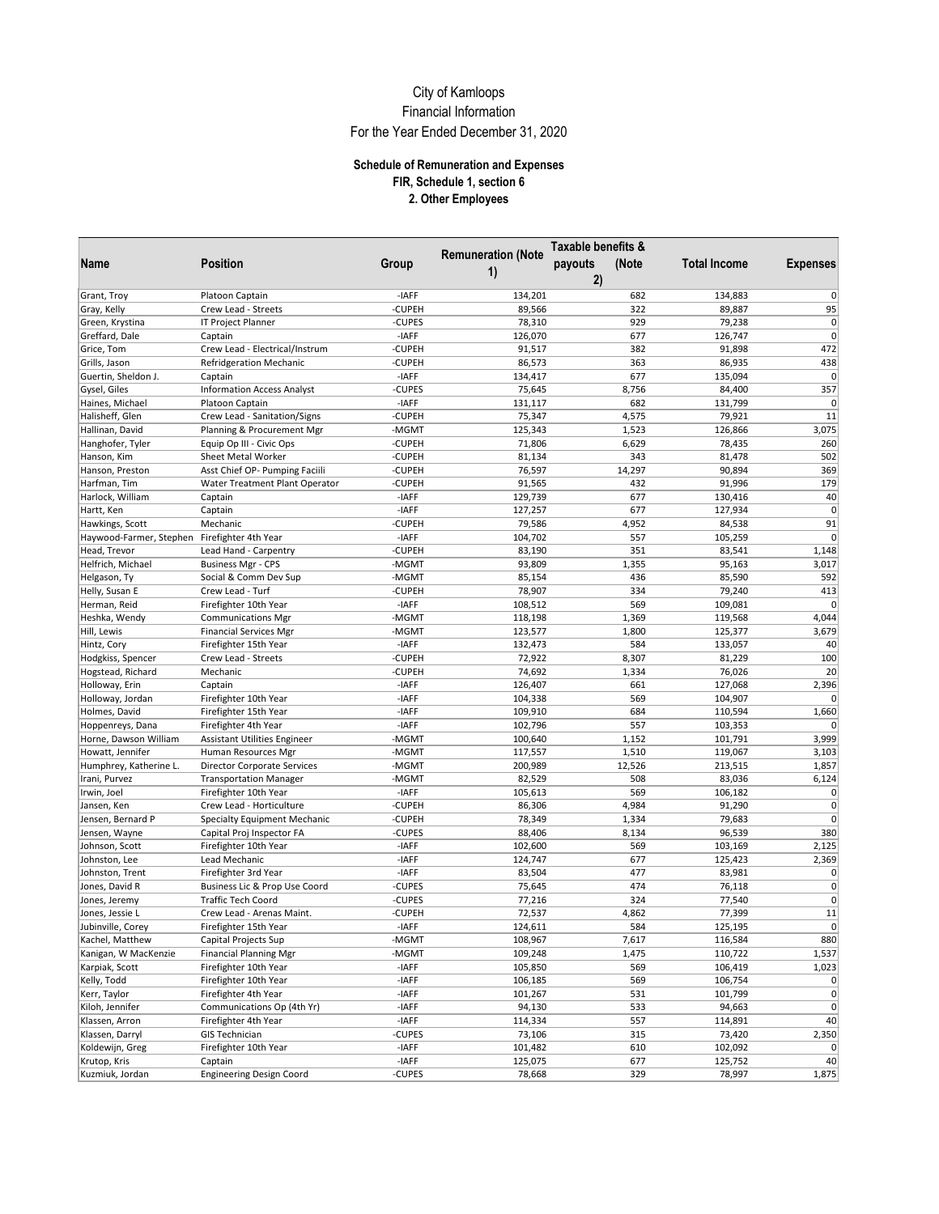|                                              |                                                        |                |                           | Taxable benefits & |                     |                 |
|----------------------------------------------|--------------------------------------------------------|----------------|---------------------------|--------------------|---------------------|-----------------|
| Name                                         | <b>Position</b>                                        | Group          | <b>Remuneration (Note</b> | (Note<br>payouts   | <b>Total Income</b> | <b>Expenses</b> |
|                                              |                                                        |                | 1)                        | 2)                 |                     |                 |
| Grant, Troy                                  | Platoon Captain                                        | $-IAFF$        | 134,201                   | 682                | 134,883             | 0               |
| Gray, Kelly                                  | Crew Lead - Streets                                    | -CUPEH         | 89,566                    | 322                | 89,887              | 95              |
| Green, Krystina                              | IT Project Planner                                     | -CUPES         | 78,310                    | 929                | 79,238              | $\pmb{0}$       |
| Greffard, Dale                               | Captain                                                | -IAFF          | 126,070                   | 677                | 126,747             | $\mathbf 0$     |
| Grice, Tom                                   | Crew Lead - Electrical/Instrum                         | -CUPEH         | 91,517                    | 382                | 91,898              | 472             |
| Grills, Jason                                | <b>Refridgeration Mechanic</b>                         | -CUPEH         | 86,573                    | 363                | 86,935              | 438             |
| Guertin, Sheldon J.                          | Captain                                                | -IAFF          | 134,417                   | 677                | 135,094             | $\mathbf 0$     |
| Gysel, Giles                                 | <b>Information Access Analyst</b>                      | -CUPES         | 75,645                    | 8,756              | 84,400              | 357             |
| Haines, Michael                              | Platoon Captain                                        | -IAFF          | 131,117                   | 682                | 131,799             | 0               |
| Halisheff, Glen                              | Crew Lead - Sanitation/Signs                           | -CUPEH         | 75,347                    | 4,575              | 79,921              | 11              |
| Hallinan, David                              | Planning & Procurement Mgr                             | -MGMT          | 125,343                   | 1,523              | 126,866             | 3,075           |
| Hanghofer, Tyler                             | Equip Op III - Civic Ops                               | -CUPEH         | 71,806                    | 6,629              | 78,435              | 260             |
| Hanson, Kim                                  | <b>Sheet Metal Worker</b>                              | -CUPEH         | 81,134                    | 343                | 81,478              | 502             |
| Hanson, Preston                              | Asst Chief OP- Pumping Faciili                         | -CUPEH         | 76,597                    | 14,297             | 90,894              | 369             |
| Harfman, Tim                                 | Water Treatment Plant Operator                         | -CUPEH         | 91,565                    | 432                | 91,996              | 179             |
| Harlock, William                             | Captain                                                | $-IAFF$        | 129,739                   | 677                | 130,416             | 40              |
| Hartt, Ken                                   | Captain                                                | $-IAFF$        | 127,257                   | 677                | 127,934             | $\mathbf{0}$    |
| Hawkings, Scott                              | Mechanic                                               | -CUPEH         | 79,586                    | 4,952              | 84,538              | 91              |
| Haywood-Farmer, Stephen Firefighter 4th Year |                                                        | $-IAFF$        | 104,702                   | 557                | 105,259             | $\Omega$        |
| Head, Trevor                                 | Lead Hand - Carpentry                                  | -CUPEH         | 83,190                    | 351                | 83,541              | 1,148           |
| Helfrich, Michael                            | <b>Business Mgr - CPS</b>                              | -MGMT          | 93,809                    | 1,355              | 95,163              | 3,017           |
| Helgason, Ty                                 | Social & Comm Dev Sup                                  | -MGMT          | 85,154                    | 436                | 85,590              | 592             |
| Helly, Susan E                               | Crew Lead - Turf                                       | -CUPEH         | 78,907                    | 334                | 79,240              | 413             |
| Herman, Reid                                 | Firefighter 10th Year                                  | $-IAFF$        | 108,512                   | 569                | 109,081             | 0               |
| Heshka, Wendy                                | <b>Communications Mgr</b>                              | -MGMT          | 118,198                   | 1,369              | 119,568             | 4,044           |
| Hill, Lewis                                  | <b>Financial Services Mgr</b>                          | -MGMT          | 123,577                   | 1,800              | 125,377             | 3,679           |
| Hintz, Cory                                  | Firefighter 15th Year                                  | $-IAFF$        | 132,473                   | 584                | 133,057             | 40              |
| Hodgkiss, Spencer                            | Crew Lead - Streets                                    | -CUPEH         | 72,922                    | 8,307              | 81,229              | 100             |
| Hogstead, Richard                            | Mechanic                                               | -CUPEH         | 74,692                    | 1,334              | 76,026              | 20              |
| Holloway, Erin                               | Captain                                                | $-IAFF$        | 126,407                   | 661                | 127,068             | 2,396           |
| Holloway, Jordan                             | Firefighter 10th Year                                  | $-IAFF$        | 104,338                   | 569                | 104,907             | $\Omega$        |
| Holmes, David                                | Firefighter 15th Year                                  | -IAFF          | 109,910                   | 684                | 110,594             | 1,660           |
| Hoppenreys, Dana                             | Firefighter 4th Year                                   | -IAFF          | 102,796                   | 557                | 103,353             | 0               |
| Horne, Dawson William                        | <b>Assistant Utilities Engineer</b>                    | -MGMT          | 100,640                   | 1,152              | 101,791             | 3,999           |
| Howatt, Jennifer                             | Human Resources Mgr                                    | -MGMT          | 117,557                   | 1,510              | 119,067             | 3,103           |
| Humphrey, Katherine L.                       | <b>Director Corporate Services</b>                     | -MGMT<br>-MGMT | 200,989                   | 12,526             | 213,515             | 1,857           |
| Irani, Purvez<br>Irwin, Joel                 | <b>Transportation Manager</b><br>Firefighter 10th Year | -IAFF          | 82,529<br>105,613         | 508<br>569         | 83,036<br>106,182   | 6,124<br>0      |
| Jansen, Ken                                  | Crew Lead - Horticulture                               | -CUPEH         | 86,306                    | 4,984              | 91,290              | 0               |
| Jensen, Bernard P                            | <b>Specialty Equipment Mechanic</b>                    | -CUPEH         | 78,349                    | 1,334              | 79,683              | <sup>0</sup>    |
| Jensen, Wayne                                | Capital Proj Inspector FA                              | -CUPES         | 88,406                    | 8,134              | 96,539              | 380             |
| Johnson, Scott                               | Firefighter 10th Year                                  | -IAFF          | 102,600                   | 569                | 103,169             | 2,125           |
| Johnston, Lee                                | Lead Mechanic                                          | -IAFF          | 124,747                   | 677                | 125,423             | 2,369           |
| Johnston, Trent                              | Firefighter 3rd Year                                   | $-IAFF$        | 83,504                    | 477                | 83,981              | 0               |
| Jones, David R                               | Business Lic & Prop Use Coord                          | -CUPES         | 75,645                    | 474                | 76,118              | 0               |
| Jones, Jeremy                                | <b>Traffic Tech Coord</b>                              | -CUPES         | 77,216                    | 324                | 77,540              | 0               |
| Jones, Jessie L                              | Crew Lead - Arenas Maint.                              | -CUPEH         | 72,537                    | 4,862              | 77,399              | 11              |
| Jubinville, Corey                            | Firefighter 15th Year                                  | -IAFF          | 124,611                   | 584                | 125,195             | $\Omega$        |
| Kachel, Matthew                              | Capital Projects Sup                                   | -MGMT          | 108,967                   | 7,617              | 116,584             | 880             |
| Kanigan, W MacKenzie                         | <b>Financial Planning Mgr</b>                          | -MGMT          | 109,248                   | 1,475              | 110,722             | 1,537           |
| Karpiak, Scott                               | Firefighter 10th Year                                  | -IAFF          | 105,850                   | 569                | 106,419             | 1,023           |
| Kelly, Todd                                  | Firefighter 10th Year                                  | $-IAFF$        | 106,185                   | 569                | 106,754             | 0               |
| Kerr, Taylor                                 | Firefighter 4th Year                                   | $-IAFF$        | 101,267                   | 531                | 101,799             | 0               |
| Kiloh, Jennifer                              | Communications Op (4th Yr)                             | $-IAFF$        | 94,130                    | 533                | 94,663              | 0               |
| Klassen, Arron                               | Firefighter 4th Year                                   | $-IAFF$        | 114,334                   | 557                | 114,891             | 40              |
| Klassen, Darryl                              | <b>GIS Technician</b>                                  | -CUPES         | 73,106                    | 315                | 73,420              | 2,350           |
| Koldewijn, Greg                              | Firefighter 10th Year                                  | $-IAFF$        | 101,482                   | 610                | 102,092             | 0               |
| Krutop, Kris                                 | Captain                                                | $-IAFF$        | 125,075                   | 677                | 125,752             | 40 <sup>°</sup> |
| Kuzmiuk, Jordan                              | <b>Engineering Design Coord</b>                        | -CUPES         | 78,668                    | 329                | 78,997              | 1,875           |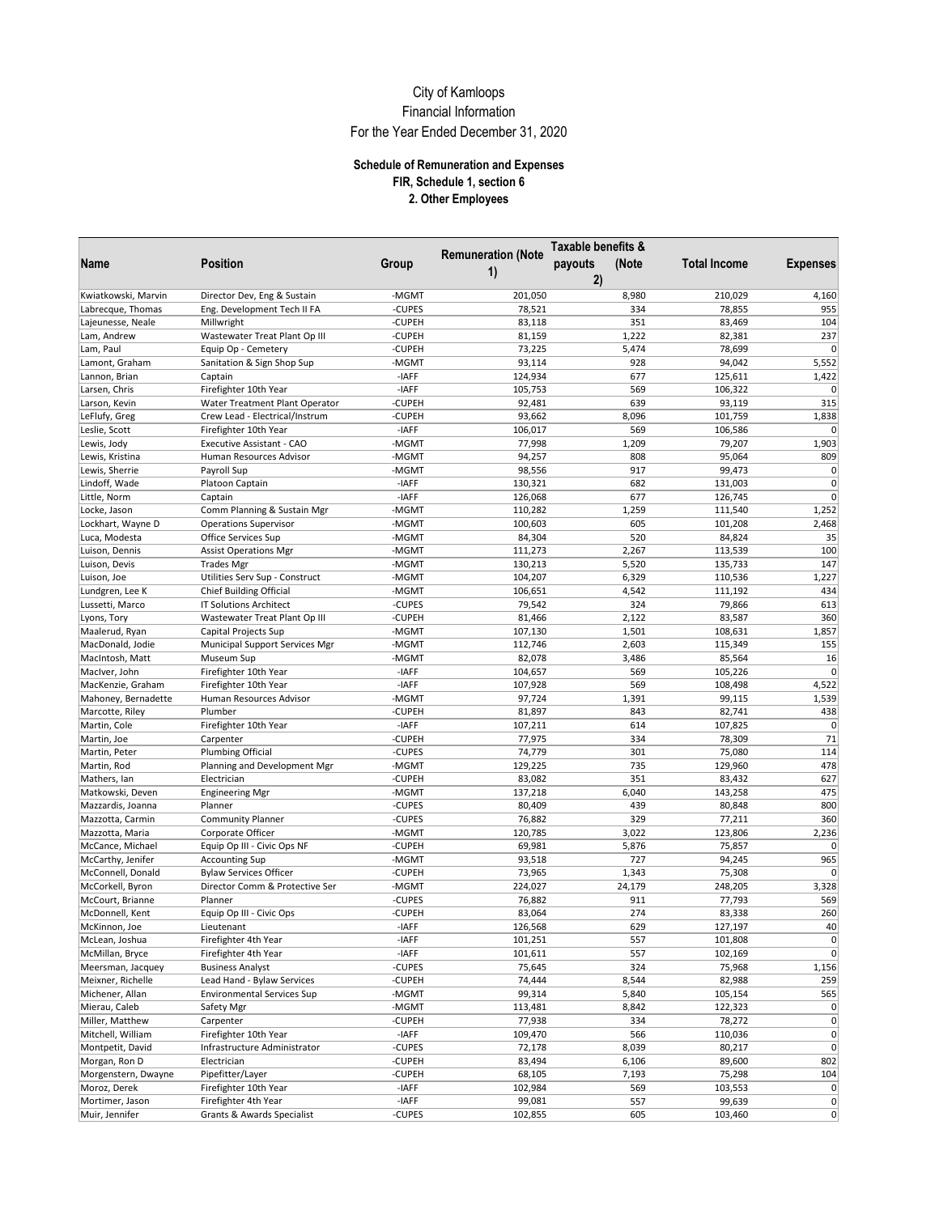|                                    |                                                               |                  |                           | <b>Taxable benefits &amp;</b> |                     |                 |  |  |
|------------------------------------|---------------------------------------------------------------|------------------|---------------------------|-------------------------------|---------------------|-----------------|--|--|
| Name                               | <b>Position</b>                                               | Group            | <b>Remuneration (Note</b> | (Note<br>payouts              | <b>Total Income</b> | <b>Expenses</b> |  |  |
|                                    |                                                               |                  | 1)                        | 2)                            |                     |                 |  |  |
| Kwiatkowski, Marvin                | Director Dev, Eng & Sustain                                   | -MGMT            | 201,050                   | 8,980                         | 210,029             | 4,160           |  |  |
| Labrecque, Thomas                  | Eng. Development Tech II FA                                   | -CUPES           | 78,521                    | 334                           | 78,855              | 955             |  |  |
| Lajeunesse, Neale                  | Millwright                                                    | -CUPEH           | 83,118                    | 351                           | 83,469              | 104             |  |  |
| Lam, Andrew                        | Wastewater Treat Plant Op III                                 | -CUPEH           | 81,159                    | 1,222                         | 82,381              | 237             |  |  |
| Lam, Paul                          | Equip Op - Cemetery                                           | -CUPEH           | 73,225                    | 5,474                         | 78,699              | 0               |  |  |
| Lamont, Graham                     | Sanitation & Sign Shop Sup                                    | -MGMT            | 93,114                    | 928                           | 94,042              | 5,552           |  |  |
| Lannon, Brian                      | Captain                                                       | -IAFF            | 124,934                   | 677                           | 125,611             | 1,422           |  |  |
| Larsen, Chris                      | Firefighter 10th Year                                         | -IAFF            | 105,753                   | 569                           | 106,322             | ∩               |  |  |
| Larson, Kevin                      | Water Treatment Plant Operator                                | -CUPEH           | 92,481                    | 639                           | 93,119              | 315             |  |  |
| LeFlufy, Greg                      | Crew Lead - Electrical/Instrum                                | -CUPEH           | 93,662                    | 8,096                         | 101,759             | 1,838           |  |  |
| Leslie, Scott                      | Firefighter 10th Year                                         | $-IAFF$          | 106,017                   | 569                           | 106,586             | $\mathbf{0}$    |  |  |
| Lewis, Jody                        | <b>Executive Assistant - CAO</b>                              | -MGMT            | 77,998                    | 1,209                         | 79,207              | 1,903           |  |  |
| Lewis, Kristina                    | Human Resources Advisor                                       | -MGMT            | 94,257                    | 808                           | 95,064              | 809             |  |  |
| Lewis, Sherrie                     | Payroll Sup                                                   | -MGMT            | 98,556                    | 917                           | 99,473              | 0               |  |  |
| Lindoff, Wade                      | Platoon Captain                                               | $-IAFF$          | 130,321                   | 682                           | 131,003             | $\mathbf 0$     |  |  |
| Little, Norm                       | Captain                                                       | $-IAFF$          | 126,068                   | 677                           | 126,745             | $\mathbf{0}$    |  |  |
| Locke, Jason                       | Comm Planning & Sustain Mgr                                   | -MGMT            | 110,282                   | 1,259                         | 111,540             | 1,252           |  |  |
| Lockhart, Wayne D                  | <b>Operations Supervisor</b>                                  | -MGMT            | 100,603                   | 605                           | 101,208             | 2,468           |  |  |
| Luca, Modesta                      | <b>Office Services Sup</b>                                    | -MGMT            | 84,304                    | 520                           | 84,824              | 35              |  |  |
| Luison, Dennis                     | <b>Assist Operations Mgr</b>                                  | -MGMT            | 111,273                   | 2,267                         | 113,539             | 100             |  |  |
| Luison, Devis                      | <b>Trades Mgr</b>                                             | -MGMT            | 130,213                   | 5,520                         | 135,733             | 147             |  |  |
| Luison, Joe                        | Utilities Serv Sup - Construct                                | -MGMT            | 104,207                   | 6,329                         | 110,536             | 1,227           |  |  |
| Lundgren, Lee K                    | <b>Chief Building Official</b>                                | -MGMT            | 106,651                   | 4,542                         | 111,192             | 434             |  |  |
| Lussetti, Marco                    | <b>IT Solutions Architect</b>                                 | -CUPES           | 79,542                    | 324                           | 79,866              | 613<br>360      |  |  |
| Lyons, Tory                        | Wastewater Treat Plant Op III                                 | -CUPEH<br>-MGMT  | 81,466                    | 2,122                         | 83,587              |                 |  |  |
| Maalerud, Ryan<br>MacDonald, Jodie | Capital Projects Sup<br><b>Municipal Support Services Mgr</b> | -MGMT            | 107,130<br>112,746        | 1,501<br>2,603                | 108,631<br>115,349  | 1,857<br>155    |  |  |
| MacIntosh, Matt                    | Museum Sup                                                    | -MGMT            | 82,078                    | 3,486                         | 85,564              | 16              |  |  |
| MacIver, John                      | Firefighter 10th Year                                         | $-IAFF$          | 104,657                   | 569                           | 105,226             | 0               |  |  |
| MacKenzie, Graham                  | Firefighter 10th Year                                         | $-IAFF$          | 107,928                   | 569                           | 108,498             | 4,522           |  |  |
| Mahoney, Bernadette                | Human Resources Advisor                                       | -MGMT            | 97,724                    | 1,391                         | 99,115              | 1,539           |  |  |
| Marcotte, Riley                    | Plumber                                                       | -CUPEH           | 81,897                    | 843                           | 82,741              | 438             |  |  |
| Martin, Cole                       | Firefighter 10th Year                                         | -IAFF            | 107,211                   | 614                           | 107,825             | 0               |  |  |
| Martin, Joe                        | Carpenter                                                     | -CUPEH           | 77,975                    | 334                           | 78,309              | 71              |  |  |
| Martin, Peter                      | <b>Plumbing Official</b>                                      | -CUPES           | 74,779                    | 301                           | 75,080              | 114             |  |  |
| Martin, Rod                        | Planning and Development Mgr                                  | -MGMT            | 129,225                   | 735                           | 129,960             | 478             |  |  |
| Mathers, Ian                       | Electrician                                                   | -CUPEH           | 83,082                    | 351                           | 83,432              | 627             |  |  |
| Matkowski, Deven                   | <b>Engineering Mgr</b>                                        | -MGMT            | 137,218                   | 6,040                         | 143,258             | 475             |  |  |
| Mazzardis, Joanna                  | Planner                                                       | -CUPES           | 80,409                    | 439                           | 80,848              | 800             |  |  |
| Mazzotta, Carmin                   | <b>Community Planner</b>                                      | -CUPES           | 76,882                    | 329                           | 77,211              | 360             |  |  |
| Mazzotta, Maria                    | Corporate Officer                                             | -MGMT            | 120,785                   | 3,022                         | 123,806             | 2,236           |  |  |
| McCance, Michael                   | Equip Op III - Civic Ops NF                                   | -CUPEH           | 69,981                    | 5,876                         | 75,857              | 0               |  |  |
| McCarthy, Jenifer                  | <b>Accounting Sup</b>                                         | -MGMT            | 93,518                    | 727                           | 94,245              | 965             |  |  |
| McConnell, Donald                  | <b>Bylaw Services Officer</b>                                 | -CUPEH           | 73,965                    | 1,343                         | 75,308              | $\mathbf{0}$    |  |  |
| McCorkell, Byron                   | Director Comm & Protective Ser                                | -MGMT            | 224,027                   | 24,179                        | 248,205             | 3,328           |  |  |
| McCourt, Brianne                   | Planner                                                       | -CUPES           | 76,882                    | 911                           | 77,793              | 569             |  |  |
| McDonnell, Kent                    | Equip Op III - Civic Ops                                      | -CUPEH           | 83,064                    | 274                           | 83,338              | 260             |  |  |
| McKinnon, Joe                      | Lieutenant                                                    | $-IAFF$          | 126,568                   | 629                           | 127,197             | 40              |  |  |
| McLean, Joshua                     | Firefighter 4th Year                                          | $-IAFF$          | 101,251                   | 557                           | 101,808             | 0               |  |  |
| McMillan, Bryce                    | Firefighter 4th Year                                          | -IAFF            | 101,611                   | 557                           | 102,169             | $\Omega$        |  |  |
| Meersman, Jacquey                  | <b>Business Analyst</b>                                       | -CUPES           | 75,645                    | 324                           | 75,968              | 1,156           |  |  |
| Meixner, Richelle                  | Lead Hand - Bylaw Services                                    | -CUPEH           | 74,444                    | 8,544                         | 82,988              | 259             |  |  |
| Michener, Allan                    | <b>Environmental Services Sup</b>                             | -MGMT            | 99,314                    | 5,840                         | 105,154             | 565             |  |  |
| Mierau, Caleb                      | Safety Mgr                                                    | -MGMT            | 113,481                   | 8,842                         | 122,323             | 0               |  |  |
| Miller, Matthew                    | Carpenter                                                     | -CUPEH           | 77,938                    | 334                           | 78,272              | 0               |  |  |
| Mitchell, William                  | Firefighter 10th Year                                         | -IAFF            | 109,470                   | 566                           | 110,036             | 0               |  |  |
| Montpetit, David                   | Infrastructure Administrator                                  | -CUPES           | 72,178                    | 8,039                         | 80,217              | 0               |  |  |
| Morgan, Ron D                      | Electrician                                                   | -CUPEH           | 83,494                    | 6,106                         | 89,600              | 802             |  |  |
| Morgenstern, Dwayne                | Pipefitter/Layer                                              | -CUPEH           | 68,105                    | 7,193                         | 75,298              | 104             |  |  |
| Moroz, Derek<br>Mortimer, Jason    | Firefighter 10th Year<br>Firefighter 4th Year                 | -IAFF<br>$-IAFF$ | 102,984<br>99,081         | 569<br>557                    | 103,553<br>99,639   | 0<br>0          |  |  |
| Muir, Jennifer                     | <b>Grants &amp; Awards Specialist</b>                         | -CUPES           | 102,855                   | 605                           | 103,460             | 0               |  |  |
|                                    |                                                               |                  |                           |                               |                     |                 |  |  |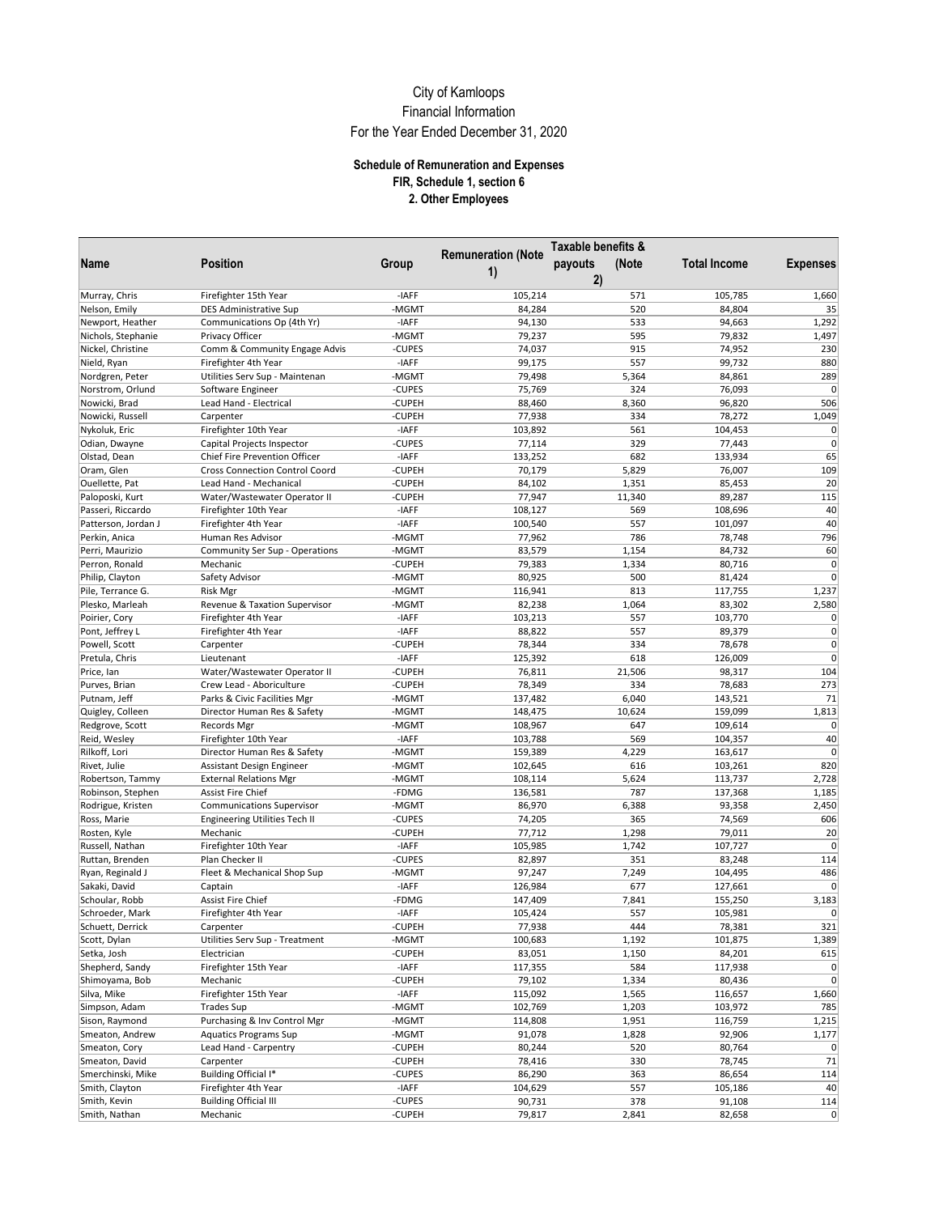|                                      | <b>Taxable benefits &amp;</b>                     |                 |                           |                  |                     |                 |
|--------------------------------------|---------------------------------------------------|-----------------|---------------------------|------------------|---------------------|-----------------|
| Name                                 | <b>Position</b>                                   | Group           | <b>Remuneration (Note</b> | (Note<br>payouts | <b>Total Income</b> | <b>Expenses</b> |
|                                      |                                                   |                 | 1)                        | 2)               |                     |                 |
| Murray, Chris                        | Firefighter 15th Year                             | -IAFF           | 105,214                   | 571              | 105,785             | 1,660           |
| Nelson, Emily                        | DES Administrative Sup                            | -MGMT           | 84,284                    | 520              | 84,804              | 35              |
| Newport, Heather                     | Communications Op (4th Yr)                        | -IAFF           | 94,130                    | 533              | 94,663              | 1,292           |
| Nichols, Stephanie                   | Privacy Officer                                   | -MGMT           | 79,237                    | 595              | 79,832              | 1,497           |
| Nickel, Christine                    | Comm & Community Engage Advis                     | -CUPES          | 74,037                    | 915              | 74,952              | 230             |
| Nield, Ryan                          | Firefighter 4th Year                              | $-IAFF$         | 99,175                    | 557              | 99,732              | 880             |
| Nordgren, Peter                      | Utilities Serv Sup - Maintenan                    | -MGMT           | 79,498                    | 5,364            | 84,861              | 289             |
| Norstrom, Orlund                     | Software Engineer                                 | -CUPES          | 75,769                    | 324              | 76,093              | 0               |
| Nowicki, Brad                        | Lead Hand - Electrical                            | -CUPEH          | 88,460                    | 8,360            | 96,820              | 506             |
| Nowicki, Russell                     | Carpenter                                         | -CUPEH          | 77,938                    | 334              | 78,272              | 1,049           |
| Nykoluk, Eric                        | Firefighter 10th Year                             | $-IAFF$         | 103,892                   | 561              | 104,453             | 0               |
| Odian, Dwayne                        | Capital Projects Inspector                        | -CUPES          | 77,114                    | 329              | 77,443              | 0               |
| Olstad, Dean                         | <b>Chief Fire Prevention Officer</b>              | -IAFF           | 133,252                   | 682              | 133,934             | 65              |
| Oram, Glen                           | <b>Cross Connection Control Coord</b>             | -CUPEH          | 70,179                    | 5,829            | 76,007              | 109             |
| Ouellette, Pat                       | Lead Hand - Mechanical                            | -CUPEH          | 84,102                    | 1,351            | 85,453              | 20              |
| Paloposki, Kurt                      | Water/Wastewater Operator II                      | -CUPEH          | 77,947                    | 11,340           | 89,287              | 115             |
| Passeri, Riccardo                    | Firefighter 10th Year                             | -IAFF           | 108,127                   | 569              | 108,696             | 40              |
| Patterson, Jordan J                  | Firefighter 4th Year                              | -IAFF           | 100,540                   | 557              | 101,097             | 40              |
| Perkin, Anica                        | Human Res Advisor                                 | -MGMT           | 77,962                    | 786              | 78,748              | 796             |
| Perri, Maurizio                      | <b>Community Ser Sup - Operations</b><br>Mechanic | -MGMT           | 83,579                    | 1,154            | 84,732              | 60              |
| Perron, Ronald                       |                                                   | -CUPEH<br>-MGMT | 79,383                    | 1,334<br>500     | 80,716              | 0<br> 0         |
| Philip, Clayton<br>Pile, Terrance G. | Safety Advisor<br>Risk Mgr                        | -MGMT           | 80,925<br>116,941         | 813              | 81,424<br>117,755   | 1,237           |
| Plesko, Marleah                      | <b>Revenue &amp; Taxation Supervisor</b>          | -MGMT           | 82,238                    | 1,064            | 83,302              | 2,580           |
| Poirier, Cory                        | Firefighter 4th Year                              | -IAFF           | 103,213                   | 557              | 103,770             | 0               |
| Pont, Jeffrey L                      | Firefighter 4th Year                              | $-IAFF$         | 88,822                    | 557              | 89,379              | 0               |
| Powell, Scott                        | Carpenter                                         | -CUPEH          | 78,344                    | 334              | 78,678              | 0               |
| Pretula, Chris                       | Lieutenant                                        | -IAFF           | 125,392                   | 618              | 126,009             | 0               |
| Price, Ian                           | Water/Wastewater Operator II                      | -CUPEH          | 76,811                    | 21,506           | 98,317              | 104             |
| Purves, Brian                        | Crew Lead - Aboriculture                          | -CUPEH          | 78,349                    | 334              | 78,683              | 273             |
| Putnam, Jeff                         | Parks & Civic Facilities Mgr                      | -MGMT           | 137,482                   | 6,040            | 143,521             | 71              |
| Quigley, Colleen                     | Director Human Res & Safety                       | -MGMT           | 148,475                   | 10,624           | 159,099             | 1,813           |
| Redgrove, Scott                      | Records Mgr                                       | -MGMT           | 108,967                   | 647              | 109,614             | 0               |
| Reid, Wesley                         | Firefighter 10th Year                             | -IAFF           | 103,788                   | 569              | 104,357             | 40              |
| Rilkoff, Lori                        | Director Human Res & Safety                       | -MGMT           | 159,389                   | 4,229            | 163,617             | 0               |
| Rivet, Julie                         | Assistant Design Engineer                         | -MGMT           | 102,645                   | 616              | 103,261             | 820             |
| Robertson, Tammy                     | <b>External Relations Mgr</b>                     | -MGMT           | 108,114                   | 5,624            | 113,737             | 2,728           |
| Robinson, Stephen                    | <b>Assist Fire Chief</b>                          | -FDMG           | 136,581                   | 787              | 137,368             | 1,185           |
| Rodrigue, Kristen                    | <b>Communications Supervisor</b>                  | -MGMT           | 86,970                    | 6,388            | 93,358              | 2,450           |
| Ross, Marie                          | <b>Engineering Utilities Tech II</b>              | -CUPES          | 74,205                    | 365              | 74,569              | 606             |
| Rosten, Kyle                         | Mechanic                                          | -CUPEH          | 77,712                    | 1,298            | 79,011              | 20              |
| Russell, Nathan                      | Firefighter 10th Year                             | -IAFF           | 105,985                   | 1,742            | 107,727             | 0               |
| Ruttan, Brenden                      | Plan Checker II                                   | -CUPES          | 82,897                    | 351              | 83,248              | 114             |
| Ryan, Reginald J                     | Fleet & Mechanical Shop Sup                       | -MGMT           | 97,247                    | 7,249            | 104,495             | 486             |
| Sakaki, David                        | Captain                                           | $-IAFF$         | 126,984                   | 677              | 127,661             | 0               |
| Schoular, Robb                       | <b>Assist Fire Chief</b>                          | -FDMG           | 147,409                   | 7,841            | 155,250             | 3,183           |
| Schroeder, Mark                      | Firefighter 4th Year                              | $-IAFF$         | 105,424                   | 557              | 105,981             | 0               |
| Schuett, Derrick                     | Carpenter                                         | -CUPEH          | 77,938                    | 444              | 78,381              | 321             |
| Scott, Dylan                         | Utilities Serv Sup - Treatment                    | -MGMT           | 100,683                   | 1,192            | 101,875             | 1,389           |
| Setka, Josh                          | Electrician                                       | -CUPEH          | 83,051                    | 1,150            | 84,201              | 615             |
| Shepherd, Sandy                      | Firefighter 15th Year                             | -IAFF           | 117,355                   | 584              | 117,938             | 0               |
| Shimoyama, Bob                       | Mechanic                                          | -CUPEH          | 79,102                    | 1,334            | 80,436              | 0               |
| Silva, Mike                          | Firefighter 15th Year                             | -IAFF           | 115,092                   | 1,565            | 116,657             | 1,660           |
| Simpson, Adam                        | <b>Trades Sup</b>                                 | -MGMT           | 102,769                   | 1,203            | 103,972             | 785             |
| Sison, Raymond                       | Purchasing & Inv Control Mgr                      | -MGMT           | 114,808                   | 1,951            | 116,759             | 1,215           |
| Smeaton, Andrew                      | <b>Aquatics Programs Sup</b>                      | -MGMT<br>-CUPEH | 91,078                    | 1,828<br>520     | 92,906              | 1,177           |
| Smeaton, Cory<br>Smeaton, David      | Lead Hand - Carpentry<br>Carpenter                | -CUPEH          | 80,244<br>78,416          | 330              | 80,764<br>78,745    | 0<br>71         |
| Smerchinski, Mike                    | <b>Building Official I*</b>                       | -CUPES          | 86,290                    | 363              | 86,654              | 114             |
| Smith, Clayton                       | Firefighter 4th Year                              | $-IAFF$         | 104,629                   | 557              | 105,186             | 40              |
| Smith, Kevin                         | <b>Building Official III</b>                      | -CUPES          | 90,731                    | 378              | 91,108              | 114             |
| Smith, Nathan                        | Mechanic                                          | -CUPEH          | 79,817                    | 2,841            | 82,658              | 0               |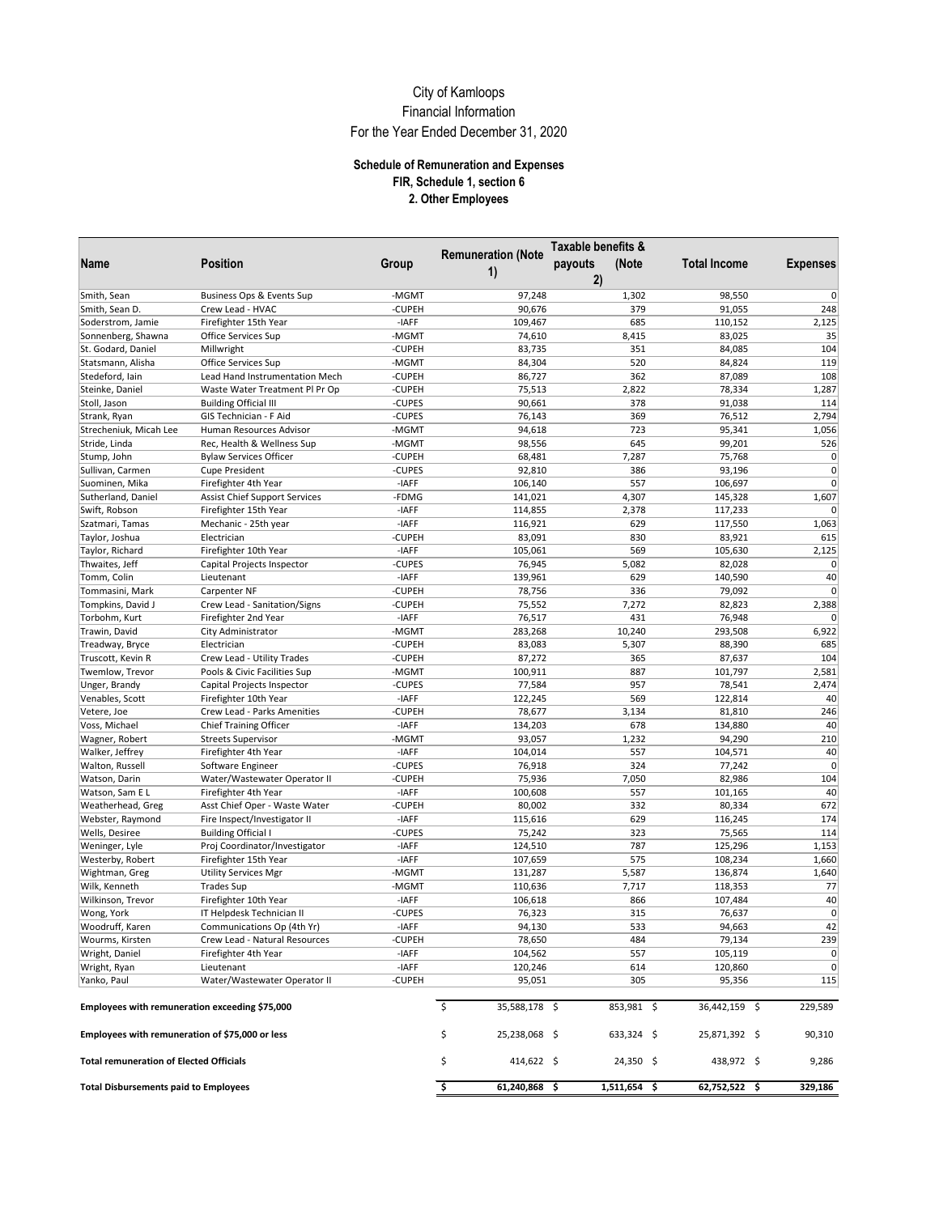|                                                 |                                                             |                  |                           | <b>Taxable benefits &amp;</b> |                     |                 |
|-------------------------------------------------|-------------------------------------------------------------|------------------|---------------------------|-------------------------------|---------------------|-----------------|
| Name                                            | <b>Position</b>                                             | Group            | <b>Remuneration (Note</b> | (Note<br>payouts              | <b>Total Income</b> | <b>Expenses</b> |
|                                                 |                                                             |                  | 1)                        | 2)                            |                     |                 |
| Smith, Sean                                     | Business Ops & Events Sup                                   | -MGMT            | 97,248                    | 1,302                         | 98,550              | 0               |
| Smith, Sean D.                                  | Crew Lead - HVAC                                            | -CUPEH           | 90,676                    | 379                           | 91,055              | 248             |
| Soderstrom, Jamie                               | Firefighter 15th Year                                       | $-IAFF$          | 109,467                   | 685                           | 110,152             | 2,125           |
| Sonnenberg, Shawna                              | <b>Office Services Sup</b>                                  | -MGMT            | 74,610                    | 8,415                         | 83,025              | 35              |
| St. Godard, Daniel                              | Millwright                                                  | -CUPEH           | 83,735                    | 351                           | 84,085              | 104             |
| Statsmann, Alisha                               | <b>Office Services Sup</b>                                  | -MGMT            | 84,304                    | 520                           | 84,824              | 119             |
| Stedeford, Iain                                 | Lead Hand Instrumentation Mech                              | -CUPEH           | 86,727                    | 362                           | 87,089              | 108             |
| Steinke, Daniel                                 | Waste Water Treatment Pl Pr Op                              | -CUPEH           | 75,513                    | 2,822                         | 78,334              | 1,287           |
| Stoll, Jason                                    | <b>Building Official III</b>                                | -CUPES           | 90,661                    | 378                           | 91,038              | 114             |
| Strank, Ryan                                    | <b>GIS Technician - F Aid</b>                               | -CUPES           | 76,143                    | 369                           | 76,512              | 2,794           |
| Strecheniuk, Micah Lee                          | Human Resources Advisor                                     | -MGMT<br>-MGMT   | 94,618                    | 723<br>645                    | 95,341              | 1,056<br>526    |
| Stride, Linda                                   | Rec, Health & Wellness Sup<br><b>Bylaw Services Officer</b> | -CUPEH           | 98,556                    |                               | 99,201              | 0               |
| Stump, John<br>Sullivan, Carmen                 | <b>Cupe President</b>                                       | -CUPES           | 68,481<br>92,810          | 7,287<br>386                  | 75,768<br>93,196    | 0               |
| Suominen, Mika                                  | Firefighter 4th Year                                        | $-IAFF$          | 106,140                   | 557                           | 106,697             | $\Omega$        |
| Sutherland, Daniel                              | <b>Assist Chief Support Services</b>                        | -FDMG            | 141,021                   | 4,307                         | 145,328             | 1,607           |
| Swift, Robson                                   | Firefighter 15th Year                                       | -IAFF            | 114,855                   | 2,378                         | 117,233             |                 |
| Szatmari, Tamas                                 | Mechanic - 25th year                                        | -IAFF            | 116,921                   | 629                           | 117,550             | 1,063           |
| Taylor, Joshua                                  | Electrician                                                 | -CUPEH           | 83,091                    | 830                           | 83,921              | 615             |
| Taylor, Richard                                 | Firefighter 10th Year                                       | -IAFF            | 105,061                   | 569                           | 105,630             | 2,125           |
| Thwaites, Jeff                                  | Capital Projects Inspector                                  | -CUPES           | 76,945                    | 5,082                         | 82,028              | $\mathbf{0}$    |
| Tomm, Colin                                     | Lieutenant                                                  | -IAFF            | 139,961                   | 629                           | 140,590             | 40              |
| Tommasini, Mark                                 | Carpenter NF                                                | -CUPEH           | 78,756                    | 336                           | 79,092              | U               |
| Tompkins, David J                               | Crew Lead - Sanitation/Signs                                | -CUPEH           | 75,552                    | 7,272                         | 82,823              | 2,388           |
| Torbohm, Kurt                                   | Firefighter 2nd Year                                        | -IAFF            | 76,517                    | 431                           | 76,948              | $\Omega$        |
| Trawin, David                                   | City Administrator                                          | -MGMT            | 283,268                   | 10,240                        | 293,508             | 6,922           |
| Treadway, Bryce                                 | Electrician                                                 | -CUPEH           | 83,083                    | 5,307                         | 88,390              | 685             |
| Truscott, Kevin R                               | Crew Lead - Utility Trades                                  | -CUPEH           | 87,272                    | 365                           | 87,637              | 104             |
| Twemlow, Trevor                                 | Pools & Civic Facilities Sup                                | -MGMT            | 100,911                   | 887                           | 101,797             | 2,581           |
| Unger, Brandy                                   | Capital Projects Inspector                                  | -CUPES           | 77,584                    | 957                           | 78,541              | 2,474           |
| Venables, Scott                                 | Firefighter 10th Year                                       | -IAFF            | 122,245                   | 569                           | 122,814             | 40              |
| Vetere, Joe                                     | Crew Lead - Parks Amenities                                 | -CUPEH           | 78,677                    | 3,134                         | 81,810              | 246             |
| Voss, Michael                                   | <b>Chief Training Officer</b>                               | -IAFF            | 134,203                   | 678                           | 134,880             | 40              |
| Wagner, Robert                                  | <b>Streets Supervisor</b>                                   | -MGMT            | 93,057                    | 1,232                         | 94,290              | 210             |
| Walker, Jeffrey                                 | Firefighter 4th Year                                        | -IAFF            | 104,014                   | 557                           | 104,571             | 40              |
| Walton, Russell                                 | Software Engineer                                           | -CUPES           | 76,918                    | 324                           | 77,242              | 0               |
| Watson, Darin                                   | Water/Wastewater Operator II                                | -CUPEH           | 75,936                    | 7,050                         | 82,986              | 104             |
| Watson, Sam E L                                 | Firefighter 4th Year                                        | -IAFF            | 100,608                   | 557                           | 101,165             | 40              |
| Weatherhead, Greg                               | Asst Chief Oper - Waste Water                               | -CUPEH           | 80,002                    | 332                           | 80,334              | 672             |
| Webster, Raymond                                | Fire Inspect/Investigator II                                | -IAFF            | 115,616                   | 629                           | 116,245             | 174             |
| Wells, Desiree                                  | <b>Building Official I</b>                                  | -CUPES           | 75,242                    | 323                           | 75,565              | 114             |
| Weninger, Lyle                                  | Proj Coordinator/Investigator                               | -IAFF            | 124,510                   | 787                           | 125,296             | 1,153           |
| Westerby, Robert                                | Firefighter 15th Year                                       | $-IAFF$<br>-MGMT | 107,659                   | 575                           | 108,234             | 1,660           |
| Wightman, Greg<br>Wilk, Kenneth                 | <b>Utility Services Mgr</b><br><b>Trades Sup</b>            | -MGMT            | 131,287<br>110,636        | 5,587<br>7,717                | 136,874<br>118,353  | 1,640<br>77     |
| Wilkinson, Trevor                               | Firefighter 10th Year                                       | -IAFF            | 106,618                   | 866                           | 107,484             | 40              |
| Wong, York                                      | IT Helpdesk Technician II                                   | -CUPES           | 76,323                    | 315                           | 76,637              | 0               |
| Woodruff, Karen                                 | Communications Op (4th Yr)                                  | $-IAFF$          | 94,130                    | 533                           | 94,663              | 42              |
| Wourms, Kirsten                                 | Crew Lead - Natural Resources                               | -CUPEH           | 78,650                    | 484                           | 79,134              | 239             |
| Wright, Daniel                                  | Firefighter 4th Year                                        | -IAFF            | 104,562                   | 557                           | 105,119             | 0               |
| Wright, Ryan                                    | Lieutenant                                                  | -IAFF            | 120,246                   | 614                           | 120,860             | $\Omega$        |
| Yanko, Paul                                     | Water/Wastewater Operator II                                | -CUPEH           | 95,051                    | 305                           | 95,356              | 115             |
|                                                 |                                                             |                  |                           |                               |                     |                 |
| Employees with remuneration exceeding \$75,000  |                                                             |                  | \$<br>35,588,178 \$       | 853,981 \$                    | 36,442,159 \$       | 229,589         |
| Employees with remuneration of \$75,000 or less |                                                             |                  | \$<br>25,238,068 \$       | $633,324$ \$                  | 25,871,392 \$       | 90,310          |
| <b>Total remuneration of Elected Officials</b>  |                                                             |                  | \$<br>414,622 \$          | $24,350$ \$                   | 438,972 \$          | 9,286           |
| <b>Total Disbursements paid to Employees</b>    |                                                             |                  | 61,240,868<br>\$          | \$<br>1,511,654 \$            | 62,752,522 \$       | 329,186         |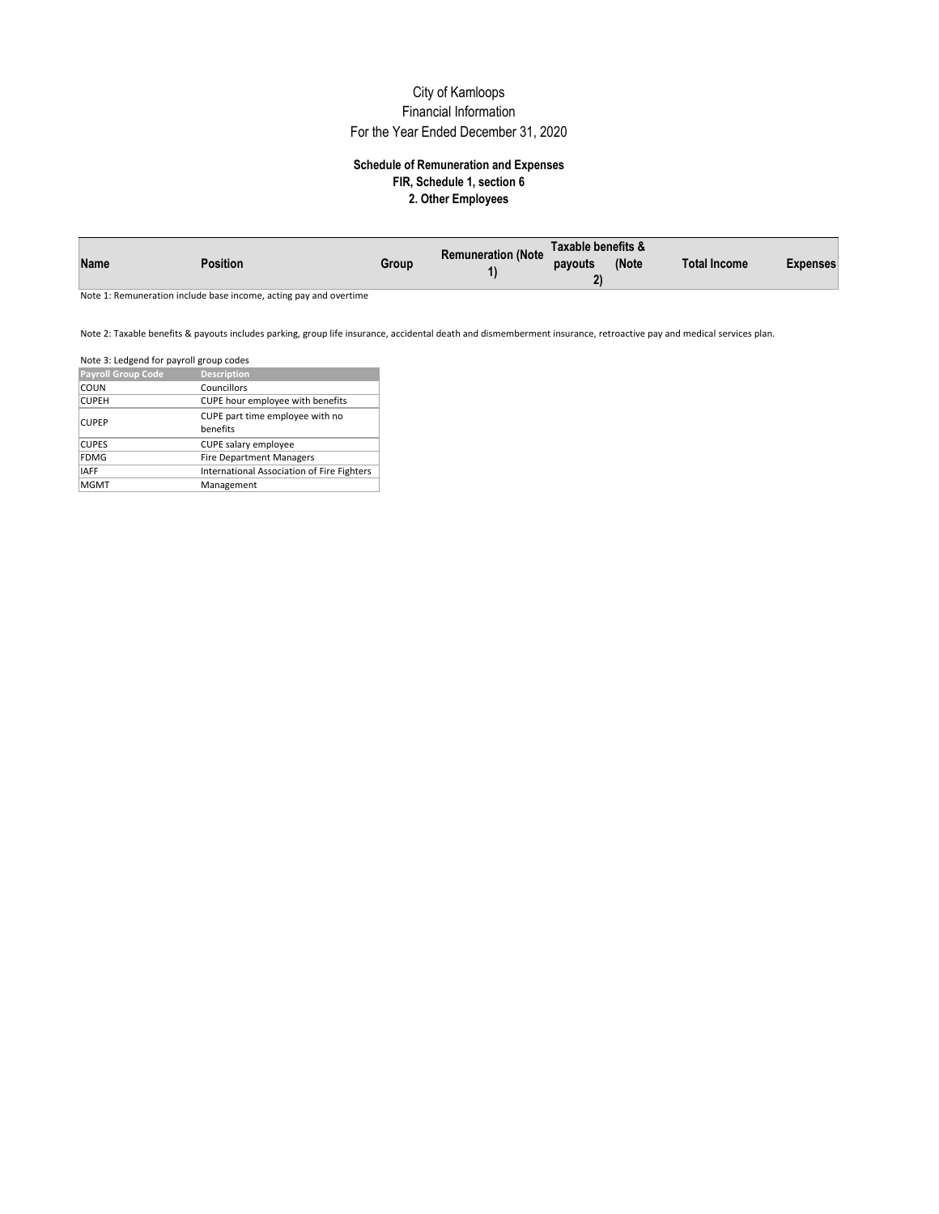|      |                 |       | <b>Remuneration (Note</b> | <b>Taxable benefits &amp;</b> |       |                     |                 |
|------|-----------------|-------|---------------------------|-------------------------------|-------|---------------------|-----------------|
| Name | <b>Position</b> | Group |                           | payouts                       | (Note | <b>Total Income</b> | <b>Expenses</b> |
|      |                 |       |                           |                               |       |                     |                 |

### **Schedule of Remuneration and Expenses FIR, Schedule 1, section 6 2. Other Employees**

#### Note 3: Ledgend for payroll group codes

| <b>Payroll Group Code</b> | <b>Description</b>                                |
|---------------------------|---------------------------------------------------|
| <b>COUN</b>               | Councillors                                       |
| <b>CUPEH</b>              | CUPE hour employee with benefits                  |
| <b>CUPEP</b>              | CUPE part time employee with no<br>benefits       |
| <b>CUPES</b>              | CUPE salary employee                              |
| <b>FDMG</b>               | <b>Fire Department Managers</b>                   |
| <b>IAFF</b>               | <b>International Association of Fire Fighters</b> |
| <b>MGMT</b>               | Management                                        |

Note 1: Remuneration include base income, acting pay and overtime

Note 2: Taxable benefits & payouts includes parking, group life insurance, accidental death and dismemberment insurance, retroactive pay and medical services plan.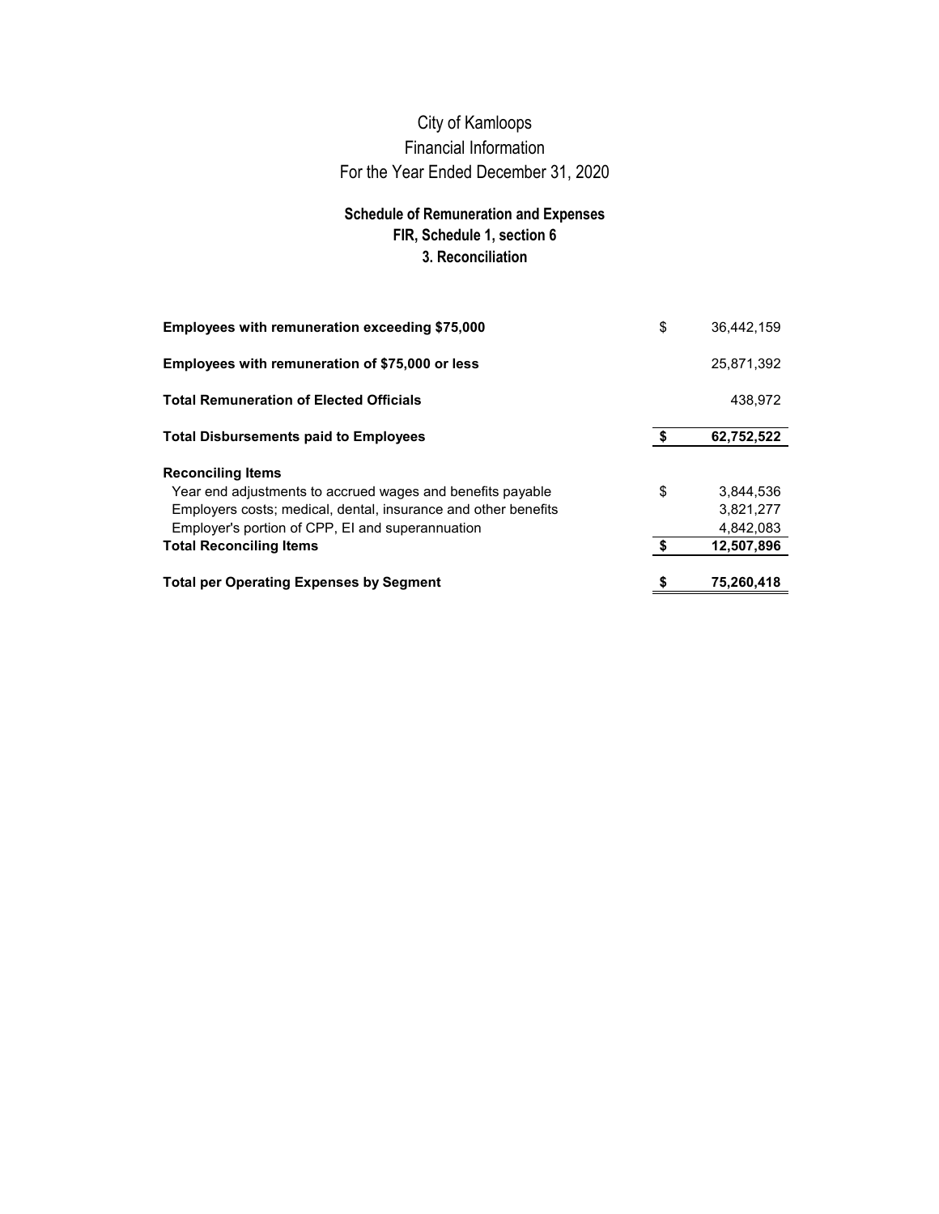### **Schedule of Remuneration and Expenses FIR, Schedule 1, section 6 3. Reconciliation**

| <b>Total per Operating Expenses by Segment</b>                 | \$<br>75,260,418 |
|----------------------------------------------------------------|------------------|
| <b>Total Reconciling Items</b>                                 | \$<br>12,507,896 |
| Employer's portion of CPP, EI and superannuation               | 4,842,083        |
| Employers costs; medical, dental, insurance and other benefits | 3,821,277        |
| Year end adjustments to accrued wages and benefits payable     | \$<br>3,844,536  |
| <b>Reconciling Items</b>                                       |                  |
| <b>Total Disbursements paid to Employees</b>                   | \$<br>62,752,522 |
|                                                                |                  |
| <b>Total Remuneration of Elected Officials</b>                 | 438,972          |
| Employees with remuneration of \$75,000 or less                | 25,871,392       |
|                                                                |                  |
| <b>Employees with remuneration exceeding \$75,000</b>          | \$<br>36,442,159 |